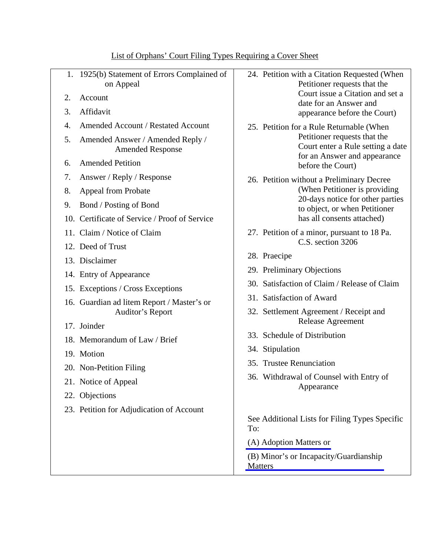| 2.<br>3. | 1. 1925(b) Statement of Errors Complained of<br>on Appeal<br>Account<br>Affidavit                 | 24. Petition with a Citation Requested (When<br>Petitioner requests that the<br>Court issue a Citation and set a<br>date for an Answer and                                    |
|----------|---------------------------------------------------------------------------------------------------|-------------------------------------------------------------------------------------------------------------------------------------------------------------------------------|
|          |                                                                                                   | appearance before the Court)                                                                                                                                                  |
| 4.<br>5. | Amended Account / Restated Account<br>Amended Answer / Amended Reply /<br><b>Amended Response</b> | 25. Petition for a Rule Returnable (When<br>Petitioner requests that the<br>Court enter a Rule setting a date<br>for an Answer and appearance<br>before the Court)            |
| 6.       | <b>Amended Petition</b>                                                                           |                                                                                                                                                                               |
| 7.       | Answer / Reply / Response                                                                         | 26. Petition without a Preliminary Decree<br>(When Petitioner is providing<br>20-days notice for other parties<br>to object, or when Petitioner<br>has all consents attached) |
| 8.       | <b>Appeal from Probate</b>                                                                        |                                                                                                                                                                               |
| 9.       | Bond / Posting of Bond                                                                            |                                                                                                                                                                               |
|          | 10. Certificate of Service / Proof of Service                                                     |                                                                                                                                                                               |
|          | 11. Claim / Notice of Claim                                                                       | 27. Petition of a minor, pursuant to 18 Pa.<br>C.S. section 3206                                                                                                              |
|          | 12. Deed of Trust                                                                                 |                                                                                                                                                                               |
|          | 13. Disclaimer                                                                                    | 28. Praecipe                                                                                                                                                                  |
|          | 14. Entry of Appearance                                                                           | 29. Preliminary Objections                                                                                                                                                    |
|          | 15. Exceptions / Cross Exceptions                                                                 | 30. Satisfaction of Claim / Release of Claim                                                                                                                                  |
|          | 16. Guardian ad litem Report / Master's or                                                        | 31. Satisfaction of Award                                                                                                                                                     |
|          | Auditor's Report<br>17. Joinder                                                                   | 32. Settlement Agreement / Receipt and<br>Release Agreement                                                                                                                   |
|          | 18. Memorandum of Law / Brief                                                                     | 33. Schedule of Distribution                                                                                                                                                  |
|          | 19. Motion                                                                                        | 34. Stipulation                                                                                                                                                               |
|          |                                                                                                   | 35. Trustee Renunciation                                                                                                                                                      |
|          | 20. Non-Petition Filing                                                                           | 36. Withdrawal of Counsel with Entry of<br>Appearance                                                                                                                         |
|          | 21. Notice of Appeal                                                                              |                                                                                                                                                                               |
|          | 22. Objections                                                                                    |                                                                                                                                                                               |
|          | 23. Petition for Adjudication of Account                                                          | See Additional Lists for Filing Types Specific<br>To:                                                                                                                         |
|          |                                                                                                   | (A) Adoption Matters or                                                                                                                                                       |
|          |                                                                                                   | (B) Minor's or Incapacity/Guardianship<br><b>Matters</b>                                                                                                                      |

## List of Orphans' Court Filing Types Requiring a Cover Sheet